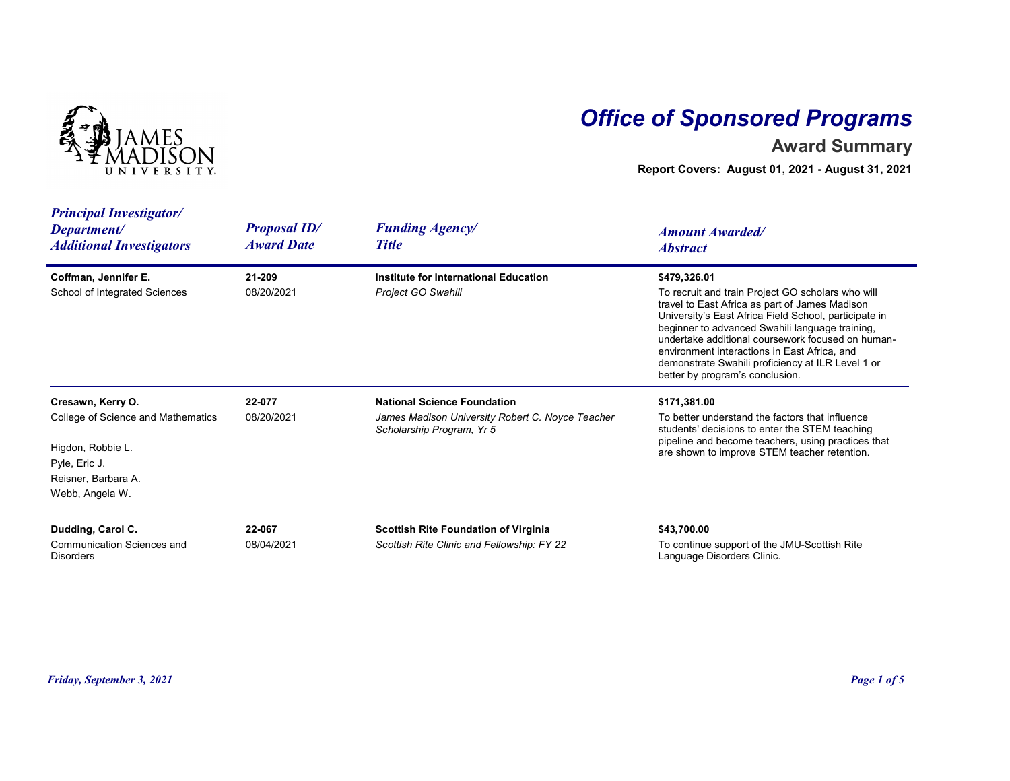

## Office of Sponsored Programs

## Award Summary

| NIVERSITY.                                                                                                                              |                                          | <b>Office of Sponsored Programs</b><br><b>Award Summary</b><br>Report Covers: August 01, 2021 - August 31, 2021     |                                                                                                                                                                                                                                                                                                                                                                                                                              |  |  |
|-----------------------------------------------------------------------------------------------------------------------------------------|------------------------------------------|---------------------------------------------------------------------------------------------------------------------|------------------------------------------------------------------------------------------------------------------------------------------------------------------------------------------------------------------------------------------------------------------------------------------------------------------------------------------------------------------------------------------------------------------------------|--|--|
| <b>Principal Investigator/</b><br>Department/<br><b>Additional Investigators</b>                                                        | <b>Proposal ID/</b><br><b>Award Date</b> | <b>Funding Agency/</b><br><b>Title</b>                                                                              | <b>Amount Awarded/</b><br><b>Abstract</b>                                                                                                                                                                                                                                                                                                                                                                                    |  |  |
| Coffman, Jennifer E.<br>School of Integrated Sciences                                                                                   | 21-209<br>08/20/2021                     | Institute for International Education<br>Project GO Swahili                                                         | \$479,326.01<br>To recruit and train Project GO scholars who will<br>travel to East Africa as part of James Madison<br>University's East Africa Field School, participate in<br>beginner to advanced Swahili language training,<br>undertake additional coursework focused on human-<br>environment interactions in East Africa, and<br>demonstrate Swahili proficiency at ILR Level 1 or<br>better by program's conclusion. |  |  |
| Cresawn, Kerry O.<br>College of Science and Mathematics<br>Higdon, Robbie L.<br>Pyle, Eric J.<br>Reisner, Barbara A.<br>Webb, Angela W. | 22-077<br>08/20/2021                     | <b>National Science Foundation</b><br>James Madison University Robert C. Noyce Teacher<br>Scholarship Program, Yr 5 | \$171,381.00<br>To better understand the factors that influence<br>students' decisions to enter the STEM teaching<br>pipeline and become teachers, using practices that<br>are shown to improve STEM teacher retention.                                                                                                                                                                                                      |  |  |
| Dudding, Carol C.<br>Communication Sciences and<br><b>Disorders</b>                                                                     | 22-067<br>08/04/2021                     | Scottish Rite Foundation of Virginia<br>Scottish Rite Clinic and Fellowship: FY 22                                  | \$43,700.00<br>To continue support of the JMU-Scottish Rite<br>Language Disorders Clinic.                                                                                                                                                                                                                                                                                                                                    |  |  |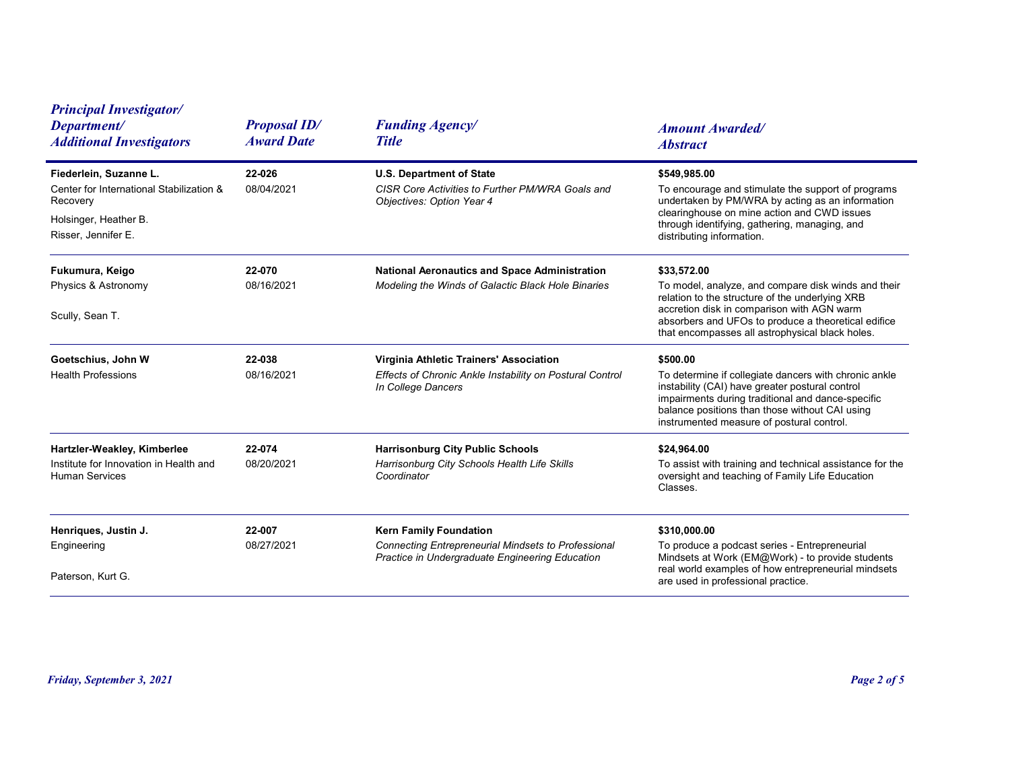| <b>Principal Investigator/</b><br>Department/<br><b>Additional Investigators</b>                                               | <b>Proposal ID/</b><br><b>Award Date</b> | <b>Funding Agency/</b><br><b>Title</b>                                                                                                  | <b>Amount Awarded/</b><br><b>Abstract</b>                                                                                                                                                                                                                                     |
|--------------------------------------------------------------------------------------------------------------------------------|------------------------------------------|-----------------------------------------------------------------------------------------------------------------------------------------|-------------------------------------------------------------------------------------------------------------------------------------------------------------------------------------------------------------------------------------------------------------------------------|
| Fiederlein, Suzanne L.<br>Center for International Stabilization &<br>Recovery<br>Holsinger, Heather B.<br>Risser, Jennifer E. | 22-026<br>08/04/2021                     | <b>U.S. Department of State</b><br>CISR Core Activities to Further PM/WRA Goals and<br>Objectives: Option Year 4                        | \$549,985.00<br>To encourage and stimulate the support of programs<br>undertaken by PM/WRA by acting as an information<br>clearinghouse on mine action and CWD issues<br>through identifying, gathering, managing, and<br>distributing information.                           |
| Fukumura, Keigo<br>Physics & Astronomy<br>Scully, Sean T.                                                                      | 22-070<br>08/16/2021                     | <b>National Aeronautics and Space Administration</b><br>Modeling the Winds of Galactic Black Hole Binaries                              | \$33,572.00<br>To model, analyze, and compare disk winds and their<br>relation to the structure of the underlying XRB<br>accretion disk in comparison with AGN warm<br>absorbers and UFOs to produce a theoretical edifice<br>that encompasses all astrophysical black holes. |
| Goetschius, John W<br><b>Health Professions</b>                                                                                | 22-038<br>08/16/2021                     | Virginia Athletic Trainers' Association<br>Effects of Chronic Ankle Instability on Postural Control<br>In College Dancers               | \$500.00<br>To determine if collegiate dancers with chronic ankle<br>instability (CAI) have greater postural control<br>impairments during traditional and dance-specific<br>balance positions than those without CAI using<br>instrumented measure of postural control.      |
| Hartzler-Weakley, Kimberlee<br>Institute for Innovation in Health and<br><b>Human Services</b>                                 | 22-074<br>08/20/2021                     | <b>Harrisonburg City Public Schools</b><br>Harrisonburg City Schools Health Life Skills<br>Coordinator                                  | \$24,964.00<br>To assist with training and technical assistance for the<br>oversight and teaching of Family Life Education<br>Classes.                                                                                                                                        |
| Henriques, Justin J.<br>Engineering<br>Paterson, Kurt G.                                                                       | 22-007<br>08/27/2021                     | <b>Kern Family Foundation</b><br>Connecting Entrepreneurial Mindsets to Professional<br>Practice in Undergraduate Engineering Education | \$310,000.00<br>To produce a podcast series - Entrepreneurial<br>Mindsets at Work (EM@Work) - to provide students<br>real world examples of how entrepreneurial mindsets<br>are used in professional practice.                                                                |
|                                                                                                                                |                                          |                                                                                                                                         |                                                                                                                                                                                                                                                                               |
| Friday, September 3, 2021                                                                                                      |                                          |                                                                                                                                         | Page 2 of 5                                                                                                                                                                                                                                                                   |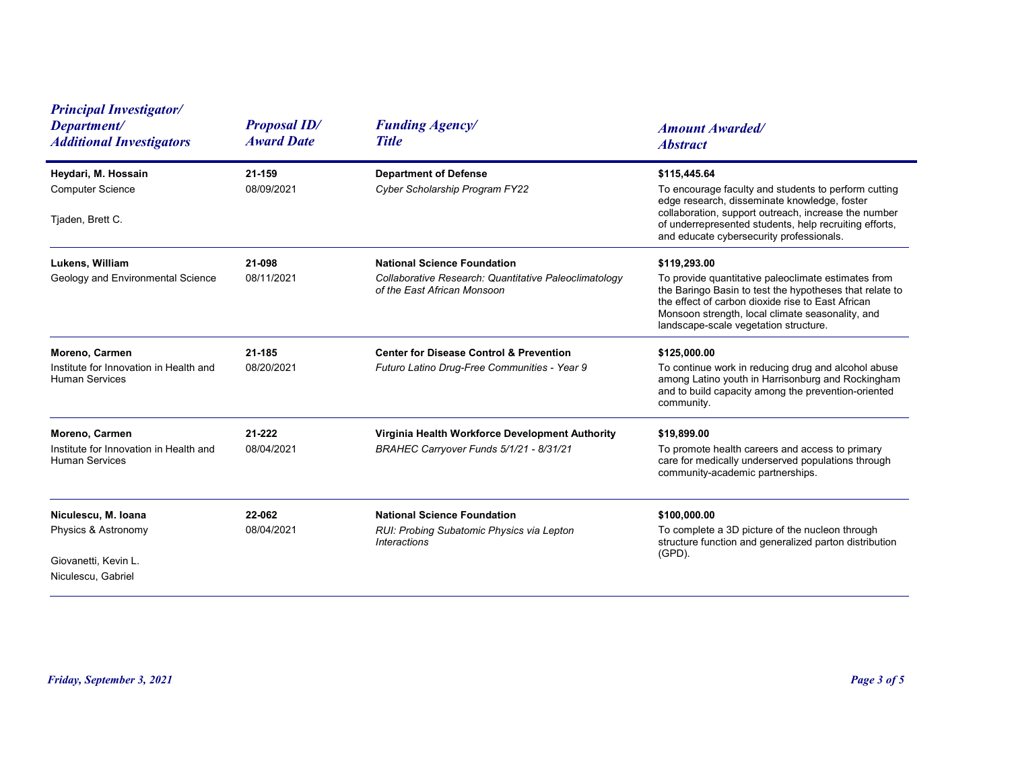| <b>Proposal ID/</b>  | <b>Funding Agency/</b>                                                                                                     | <b>Amount Awarded/</b>                                                                                                                                                                                                                                                                                |
|----------------------|----------------------------------------------------------------------------------------------------------------------------|-------------------------------------------------------------------------------------------------------------------------------------------------------------------------------------------------------------------------------------------------------------------------------------------------------|
| 21-159<br>08/09/2021 | <b>Department of Defense</b><br>Cyber Scholarship Program FY22                                                             | <b>Abstract</b><br>\$115,445.64<br>To encourage faculty and students to perform cutting<br>edge research, disseminate knowledge, foster<br>collaboration, support outreach, increase the number<br>of underrepresented students, help recruiting efforts,<br>and educate cybersecurity professionals. |
| 21-098<br>08/11/2021 | <b>National Science Foundation</b><br>Collaborative Research: Quantitative Paleoclimatology<br>of the East African Monsoon | \$119,293.00<br>To provide quantitative paleoclimate estimates from<br>the Baringo Basin to test the hypotheses that relate to<br>the effect of carbon dioxide rise to East African<br>Monsoon strength, local climate seasonality, and<br>landscape-scale vegetation structure.                      |
| 21-185<br>08/20/2021 | <b>Center for Disease Control &amp; Prevention</b><br>Futuro Latino Drug-Free Communities - Year 9                         | \$125,000.00<br>To continue work in reducing drug and alcohol abuse<br>among Latino youth in Harrisonburg and Rockingham<br>and to build capacity among the prevention-oriented<br>community.                                                                                                         |
| 21-222<br>08/04/2021 | Virginia Health Workforce Development Authority<br>BRAHEC Carryover Funds 5/1/21 - 8/31/21                                 | \$19,899.00<br>To promote health careers and access to primary<br>care for medically underserved populations through<br>community-academic partnerships.                                                                                                                                              |
| 22-062<br>08/04/2021 | <b>National Science Foundation</b><br>RUI: Probing Subatomic Physics via Lepton<br>Interactions                            | \$100,000.00<br>To complete a 3D picture of the nucleon through<br>structure function and generalized parton distribution<br>(GPD).                                                                                                                                                                   |
|                      |                                                                                                                            | Page 3 of 5                                                                                                                                                                                                                                                                                           |
|                      | <b>Award Date</b>                                                                                                          | <b>Title</b>                                                                                                                                                                                                                                                                                          |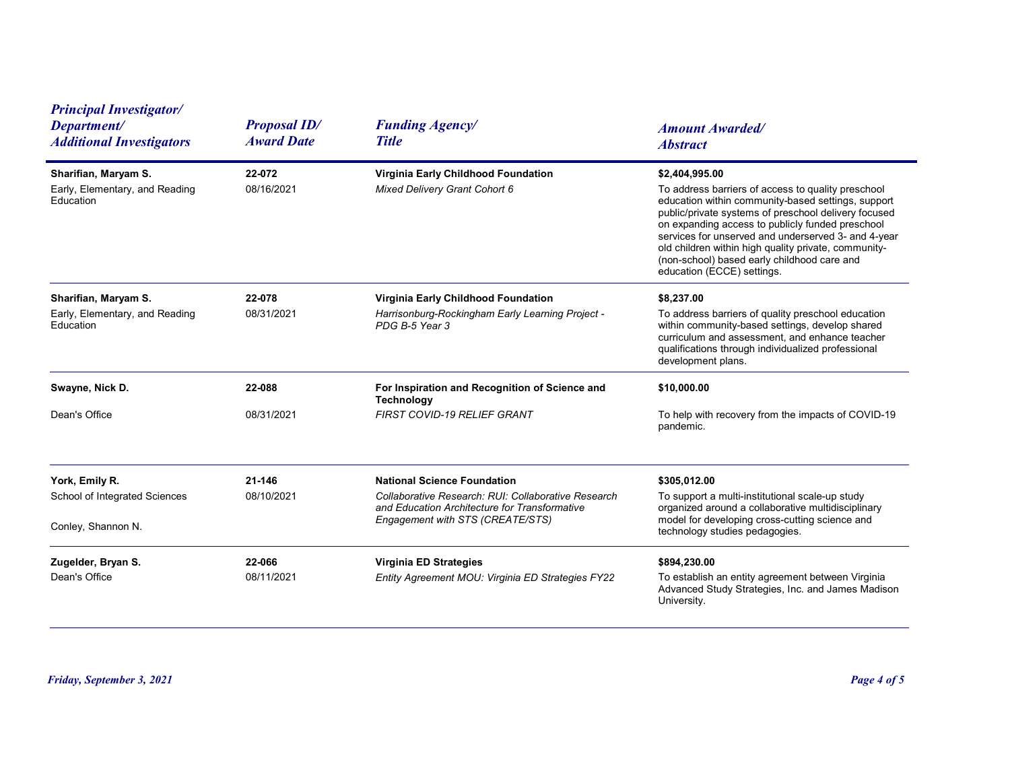| <b>Principal Investigator/</b><br>Department/<br><b>Additional Investigators</b> | <b>Proposal ID/</b><br><b>Award Date</b> | <b>Funding Agency/</b><br><b>Title</b>                                                                                                                                         | <b>Amount Awarded/</b><br><b>Abstract</b>                                                                                                                                                                                                                                                                                                                                                                                          |
|----------------------------------------------------------------------------------|------------------------------------------|--------------------------------------------------------------------------------------------------------------------------------------------------------------------------------|------------------------------------------------------------------------------------------------------------------------------------------------------------------------------------------------------------------------------------------------------------------------------------------------------------------------------------------------------------------------------------------------------------------------------------|
| Sharifian, Maryam S.<br>Early, Elementary, and Reading<br>Education              | 22-072<br>08/16/2021                     | Virginia Early Childhood Foundation<br>Mixed Delivery Grant Cohort 6                                                                                                           | \$2,404,995.00<br>To address barriers of access to quality preschool<br>education within community-based settings, support<br>public/private systems of preschool delivery focused<br>on expanding access to publicly funded preschool<br>services for unserved and underserved 3- and 4-year<br>old children within high quality private, community-<br>(non-school) based early childhood care and<br>education (ECCE) settings. |
| Sharifian, Maryam S.<br>Early, Elementary, and Reading<br>Education              | 22-078<br>08/31/2021                     | Virginia Early Childhood Foundation<br>Harrisonburg-Rockingham Early Learning Project -<br>PDG B-5 Year 3                                                                      | \$8,237.00<br>To address barriers of quality preschool education<br>within community-based settings, develop shared<br>curriculum and assessment, and enhance teacher<br>qualifications through individualized professional<br>development plans.                                                                                                                                                                                  |
| Swayne, Nick D.<br>Dean's Office                                                 | 22-088<br>08/31/2021                     | For Inspiration and Recognition of Science and<br><b>Technology</b><br>FIRST COVID-19 RELIEF GRANT                                                                             | \$10,000.00<br>To help with recovery from the impacts of COVID-19<br>pandemic.                                                                                                                                                                                                                                                                                                                                                     |
| York, Emily R.<br>School of Integrated Sciences<br>Conley, Shannon N.            | 21-146<br>08/10/2021                     | <b>National Science Foundation</b><br>Collaborative Research: RUI: Collaborative Research<br>and Education Architecture for Transformative<br>Engagement with STS (CREATE/STS) | \$305,012.00<br>To support a multi-institutional scale-up study<br>organized around a collaborative multidisciplinary<br>model for developing cross-cutting science and<br>technology studies pedagogies.                                                                                                                                                                                                                          |
| Zugelder, Bryan S.<br>Dean's Office                                              | 22-066<br>08/11/2021                     | Virginia ED Strategies<br>Entity Agreement MOU: Virginia ED Strategies FY22                                                                                                    | \$894,230.00<br>To establish an entity agreement between Virginia<br>Advanced Study Strategies, Inc. and James Madison<br>University.                                                                                                                                                                                                                                                                                              |
| Friday, September 3, 2021                                                        |                                          |                                                                                                                                                                                | Page 4 of 5                                                                                                                                                                                                                                                                                                                                                                                                                        |